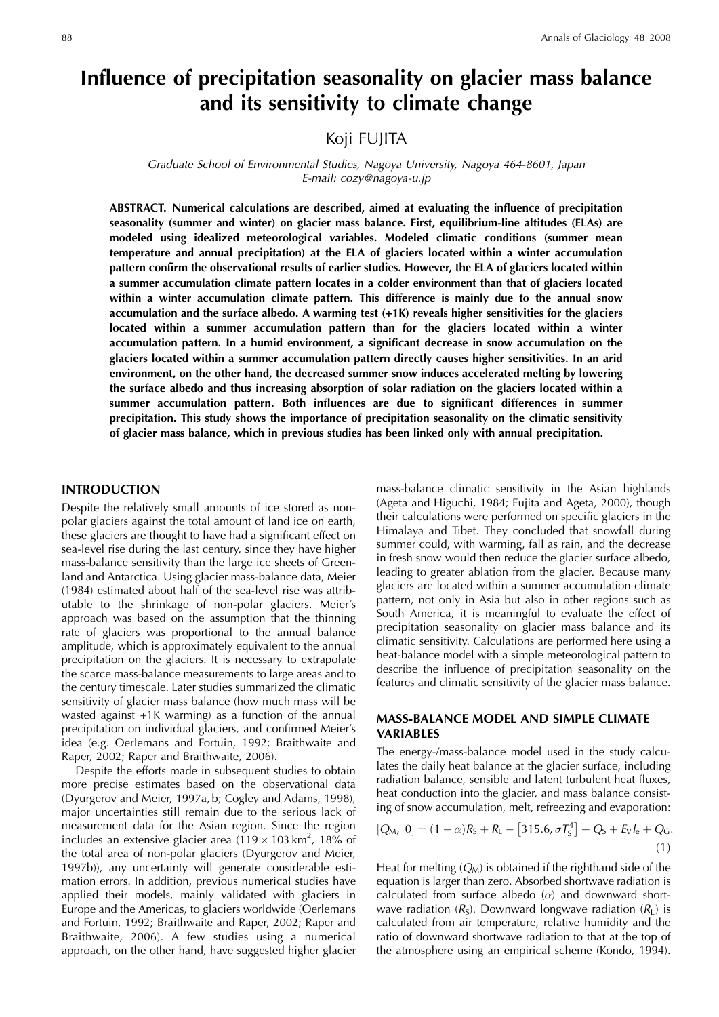# **Influence of precipitation seasonality on glacier mass balance and its sensitivity to climate change**

# Koji FUJITA

Graduate School of Environmental Studies, Nagoya University, Nagoya 464-8601, Japan E-mail: cozy@nagoya-u.jp

**ABSTRACT. Numerical calculations are described, aimed at evaluating the influence of precipitation seasonality (summer and winter) on glacier mass balance. First, equilibrium-line altitudes (ELAs) are modeled using idealized meteorological variables. Modeled climatic conditions (summer mean temperature and annual precipitation) at the ELA of glaciers located within a winter accumulation pattern confirm the observational results of earlier studies. However, the ELA of glaciers located within a summer accumulation climate pattern locates in a colder environment than that of glaciers located within a winter accumulation climate pattern. This difference is mainly due to the annual snow accumulation and the surface albedo. A warming test (+1K) reveals higher sensitivities for the glaciers located within a summer accumulation pattern than for the glaciers located within a winter accumulation pattern. In a humid environment, a significant decrease in snow accumulation on the glaciers located within a summer accumulation pattern directly causes higher sensitivities. In an arid environment, on the other hand, the decreased summer snow induces accelerated melting by lowering the surface albedo and thus increasing absorption of solar radiation on the glaciers located within a summer accumulation pattern. Both influences are due to significant differences in summer precipitation. This study shows the importance of precipitation seasonality on the climatic sensitivity of glacier mass balance, which in previous studies has been linked only with annual precipitation.**

### **INTRODUCTION**

Despite the relatively small amounts of ice stored as nonpolar glaciers against the total amount of land ice on earth, these glaciers are thought to have had a significant effect on sea-level rise during the last century, since they have higher mass-balance sensitivity than the large ice sheets of Greenland and Antarctica. Using glacier mass-balance data, Meier (1984) estimated about half of the sea-level rise was attributable to the shrinkage of non-polar glaciers. Meier's approach was based on the assumption that the thinning rate of glaciers was proportional to the annual balance amplitude, which is approximately equivalent to the annual precipitation on the glaciers. It is necessary to extrapolate the scarce mass-balance measurements to large areas and to the century timescale. Later studies summarized the climatic sensitivity of glacier mass balance (how much mass will be wasted against +1K warming) as a function of the annual precipitation on individual glaciers, and confirmed Meier's idea (e.g. Oerlemans and Fortuin, 1992; Braithwaite and Raper, 2002; Raper and Braithwaite, 2006).

Despite the efforts made in subsequent studies to obtain more precise estimates based on the observational data (Dyurgerov and Meier, 1997a, b; Cogley and Adams, 1998), major uncertainties still remain due to the serious lack of measurement data for the Asian region. Since the region includes an extensive glacier area  $(119 \times 103 \text{ km}^2, 18\% \text{ of}$ the total area of non-polar glaciers (Dyurgerov and Meier, 1997b)), any uncertainty will generate considerable estimation errors. In addition, previous numerical studies have applied their models, mainly validated with glaciers in Europe and the Americas, to glaciers worldwide (Oerlemans and Fortuin, 1992; Braithwaite and Raper, 2002; Raper and Braithwaite, 2006). A few studies using a numerical approach, on the other hand, have suggested higher glacier

mass-balance climatic sensitivity in the Asian highlands (Ageta and Higuchi, 1984; Fujita and Ageta, 2000), though their calculations were performed on specific glaciers in the Himalaya and Tibet. They concluded that snowfall during summer could, with warming, fall as rain, and the decrease in fresh snow would then reduce the glacier surface albedo, leading to greater ablation from the glacier. Because many glaciers are located within a summer accumulation climate pattern, not only in Asia but also in other regions such as South America, it is meaningful to evaluate the effect of precipitation seasonality on glacier mass balance and its climatic sensitivity. Calculations are performed here using a heat-balance model with a simple meteorological pattern to describe the influence of precipitation seasonality on the features and climatic sensitivity of the glacier mass balance.

# **MASS-BALANCE MODEL AND SIMPLE CLIMATE VARIABLES**

The energy-/mass-balance model used in the study calculates the daily heat balance at the glacier surface, including radiation balance, sensible and latent turbulent heat fluxes, heat conduction into the glacier, and mass balance consisting of snow accumulation, melt, refreezing and evaporation:

$$
[Q_M, 0] = (1 - \alpha)R_S + R_L - [315.6, \sigma T_S^4] + Q_S + E_V I_e + Q_G.
$$
\n(1)

Heat for melting  $(O_M)$  is obtained if the righthand side of the equation is larger than zero. Absorbed shortwave radiation is calculated from surface albedo  $(\alpha)$  and downward shortwave radiation  $(R<sub>S</sub>)$ . Downward longwave radiation  $(R<sub>L</sub>)$  is calculated from air temperature, relative humidity and the ratio of downward shortwave radiation to that at the top of the atmosphere using an empirical scheme (Kondo, 1994).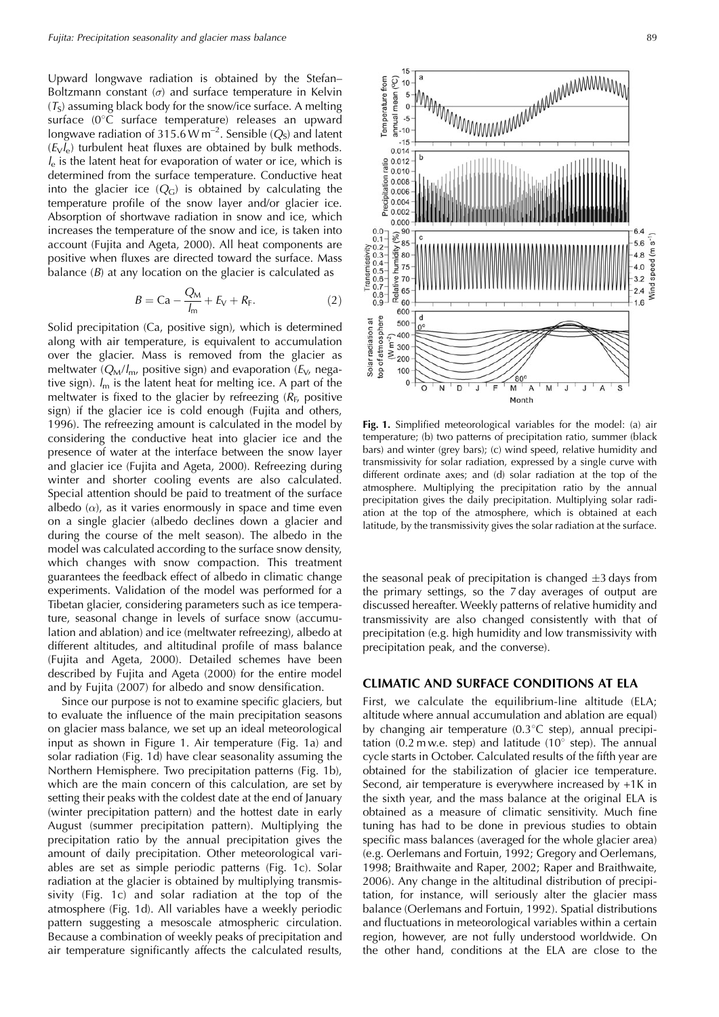Upward longwave radiation is obtained by the Stefan– Boltzmann constant  $(\sigma)$  and surface temperature in Kelvin  $(T<sub>S</sub>)$  assuming black body for the snow/ice surface. A melting surface  $(0^{\circ}C$  surface temperature) releases an upward longwave radiation of 315.6 W  $\text{m}^{-2}$ . Sensible ( $Q_{\text{S}}$ ) and latent  $(E_{\rm V}I_{\rm e})$  turbulent heat fluxes are obtained by bulk methods.  $l_{\rm e}$  is the latent heat for evaporation of water or ice, which is determined from the surface temperature. Conductive heat into the glacier ice  $(Q<sub>C</sub>)$  is obtained by calculating the temperature profile of the snow layer and/or glacier ice. Absorption of shortwave radiation in snow and ice, which increases the temperature of the snow and ice, is taken into account (Fujita and Ageta, 2000). All heat components are positive when fluxes are directed toward the surface. Mass balance  $(B)$  at any location on the glacier is calculated as

$$
B = \text{Ca} - \frac{Q_{\text{M}}}{I_{\text{m}}} + E_{\text{V}} + R_{\text{F}}.
$$
 (2)

Solid precipitation (Ca, positive sign), which is determined along with air temperature, is equivalent to accumulation over the glacier. Mass is removed from the glacier as meltwater  $(Q_M/I_m)$ , positive sign) and evaporation  $(E_V)$ , negative sign).  $l_m$  is the latent heat for melting ice. A part of the meltwater is fixed to the glacier by refreezing  $(R<sub>F</sub>$ , positive sign) if the glacier ice is cold enough (Fujita and others, 1996). The refreezing amount is calculated in the model by considering the conductive heat into glacier ice and the presence of water at the interface between the snow layer and glacier ice (Fujita and Ageta, 2000). Refreezing during winter and shorter cooling events are also calculated. Special attention should be paid to treatment of the surface albedo  $(\alpha)$ , as it varies enormously in space and time even on a single glacier (albedo declines down a glacier and during the course of the melt season). The albedo in the model was calculated according to the surface snow density, which changes with snow compaction. This treatment guarantees the feedback effect of albedo in climatic change experiments. Validation of the model was performed for a Tibetan glacier, considering parameters such as ice temperature, seasonal change in levels of surface snow (accumulation and ablation) and ice (meltwater refreezing), albedo at different altitudes, and altitudinal profile of mass balance (Fujita and Ageta, 2000). Detailed schemes have been described by Fujita and Ageta (2000) for the entire model and by Fujita (2007) for albedo and snow densification.

Since our purpose is not to examine specific glaciers, but to evaluate the influence of the main precipitation seasons on glacier mass balance, we set up an ideal meteorological input as shown in Figure 1. Air temperature (Fig. 1a) and solar radiation (Fig. 1d) have clear seasonality assuming the Northern Hemisphere. Two precipitation patterns (Fig. 1b), which are the main concern of this calculation, are set by setting their peaks with the coldest date at the end of January (winter precipitation pattern) and the hottest date in early August (summer precipitation pattern). Multiplying the precipitation ratio by the annual precipitation gives the amount of daily precipitation. Other meteorological variables are set as simple periodic patterns (Fig. 1c). Solar radiation at the glacier is obtained by multiplying transmissivity (Fig. 1c) and solar radiation at the top of the atmosphere (Fig. 1d). All variables have a weekly periodic pattern suggesting a mesoscale atmospheric circulation. Because a combination of weekly peaks of precipitation and air temperature significantly affects the calculated results,



**Fig. 1.** Simplified meteorological variables for the model: (a) air temperature; (b) two patterns of precipitation ratio, summer (black bars) and winter (grey bars); (c) wind speed, relative humidity and transmissivity for solar radiation, expressed by a single curve with different ordinate axes; and (d) solar radiation at the top of the atmosphere. Multiplying the precipitation ratio by the annual precipitation gives the daily precipitation. Multiplying solar radiation at the top of the atmosphere, which is obtained at each latitude, by the transmissivity gives the solar radiation at the surface.

the seasonal peak of precipitation is changed  $\pm 3$  days from the primary settings, so the 7 day averages of output are discussed hereafter. Weekly patterns of relative humidity and transmissivity are also changed consistently with that of precipitation (e.g. high humidity and low transmissivity with precipitation peak, and the converse).

#### **CLIMATIC AND SURFACE CONDITIONS AT ELA**

First, we calculate the equilibrium-line altitude (ELA; altitude where annual accumulation and ablation are equal) by changing air temperature  $(0.3^{\circ}C$  step), annual precipitation (0.2 m w.e. step) and latitude (10 $^{\circ}$  step). The annual cycle starts in October. Calculated results of the fifth year are obtained for the stabilization of glacier ice temperature. Second, air temperature is everywhere increased by +1K in the sixth year, and the mass balance at the original ELA is obtained as a measure of climatic sensitivity. Much fine tuning has had to be done in previous studies to obtain specific mass balances (averaged for the whole glacier area) (e.g. Oerlemans and Fortuin, 1992; Gregory and Oerlemans, 1998; Braithwaite and Raper, 2002; Raper and Braithwaite, 2006). Any change in the altitudinal distribution of precipitation, for instance, will seriously alter the glacier mass balance (Oerlemans and Fortuin, 1992). Spatial distributions and fluctuations in meteorological variables within a certain region, however, are not fully understood worldwide. On the other hand, conditions at the ELA are close to the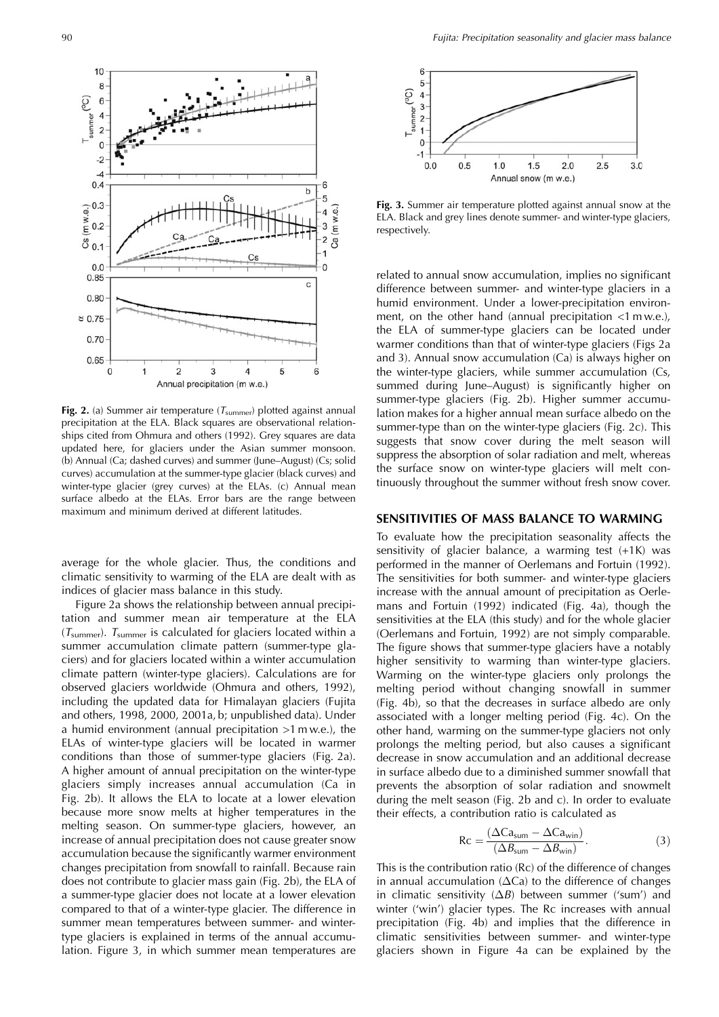

Fig. 2. (a) Summer air temperature (T<sub>summer</sub>) plotted against annual precipitation at the ELA. Black squares are observational relationships cited from Ohmura and others (1992). Grey squares are data updated here, for glaciers under the Asian summer monsoon. (b) Annual (Ca; dashed curves) and summer (June–August) (Cs; solid curves) accumulation at the summer-type glacier (black curves) and winter-type glacier (grey curves) at the ELAs. (c) Annual mean surface albedo at the ELAs. Error bars are the range between maximum and minimum derived at different latitudes.

average for the whole glacier. Thus, the conditions and climatic sensitivity to warming of the ELA are dealt with as indices of glacier mass balance in this study.

Figure 2a shows the relationship between annual precipitation and summer mean air temperature at the ELA  $(T_{\text{summer}})$ .  $T_{\text{summer}}$  is calculated for glaciers located within a summer accumulation climate pattern (summer-type glaciers) and for glaciers located within a winter accumulation climate pattern (winter-type glaciers). Calculations are for observed glaciers worldwide (Ohmura and others, 1992), including the updated data for Himalayan glaciers (Fujita and others, 1998, 2000, 2001a, b; unpublished data). Under a humid environment (annual precipitation >1 m w.e.), the ELAs of winter-type glaciers will be located in warmer conditions than those of summer-type glaciers (Fig. 2a). A higher amount of annual precipitation on the winter-type glaciers simply increases annual accumulation (Ca in Fig. 2b). It allows the ELA to locate at a lower elevation because more snow melts at higher temperatures in the melting season. On summer-type glaciers, however, an increase of annual precipitation does not cause greater snow accumulation because the significantly warmer environment changes precipitation from snowfall to rainfall. Because rain does not contribute to glacier mass gain (Fig. 2b), the ELA of a summer-type glacier does not locate at a lower elevation compared to that of a winter-type glacier. The difference in summer mean temperatures between summer- and wintertype glaciers is explained in terms of the annual accumulation. Figure 3, in which summer mean temperatures are



**Fig. 3.** Summer air temperature plotted against annual snow at the ELA. Black and grey lines denote summer- and winter-type glaciers, respectively.

related to annual snow accumulation, implies no significant difference between summer- and winter-type glaciers in a humid environment. Under a lower-precipitation environment, on the other hand (annual precipitation <1 m w.e.), the ELA of summer-type glaciers can be located under warmer conditions than that of winter-type glaciers (Figs 2a and 3). Annual snow accumulation (Ca) is always higher on the winter-type glaciers, while summer accumulation (Cs, summed during June–August) is significantly higher on summer-type glaciers (Fig. 2b). Higher summer accumulation makes for a higher annual mean surface albedo on the summer-type than on the winter-type glaciers (Fig. 2c). This suggests that snow cover during the melt season will suppress the absorption of solar radiation and melt, whereas the surface snow on winter-type glaciers will melt continuously throughout the summer without fresh snow cover.

#### **SENSITIVITIES OF MASS BALANCE TO WARMING**

To evaluate how the precipitation seasonality affects the sensitivity of glacier balance, a warming test (+1K) was performed in the manner of Oerlemans and Fortuin (1992). The sensitivities for both summer- and winter-type glaciers increase with the annual amount of precipitation as Oerlemans and Fortuin (1992) indicated (Fig. 4a), though the sensitivities at the ELA (this study) and for the whole glacier (Oerlemans and Fortuin, 1992) are not simply comparable. The figure shows that summer-type glaciers have a notably higher sensitivity to warming than winter-type glaciers. Warming on the winter-type glaciers only prolongs the melting period without changing snowfall in summer (Fig. 4b), so that the decreases in surface albedo are only associated with a longer melting period (Fig. 4c). On the other hand, warming on the summer-type glaciers not only prolongs the melting period, but also causes a significant decrease in snow accumulation and an additional decrease in surface albedo due to a diminished summer snowfall that prevents the absorption of solar radiation and snowmelt during the melt season (Fig. 2b and c). In order to evaluate their effects, a contribution ratio is calculated as

$$
Rc = \frac{(\Delta Ca_{\text{sum}} - \Delta Ca_{\text{win}})}{(\Delta B_{\text{sum}} - \Delta B_{\text{win}})}.
$$
 (3)

This is the contribution ratio (Rc) of the difference of changes in annual accumulation ( $\Delta$ Ca) to the difference of changes in climatic sensitivity  $(\Delta B)$  between summer ('sum') and winter ('win') glacier types. The Rc increases with annual precipitation (Fig. 4b) and implies that the difference in climatic sensitivities between summer- and winter-type glaciers shown in Figure 4a can be explained by the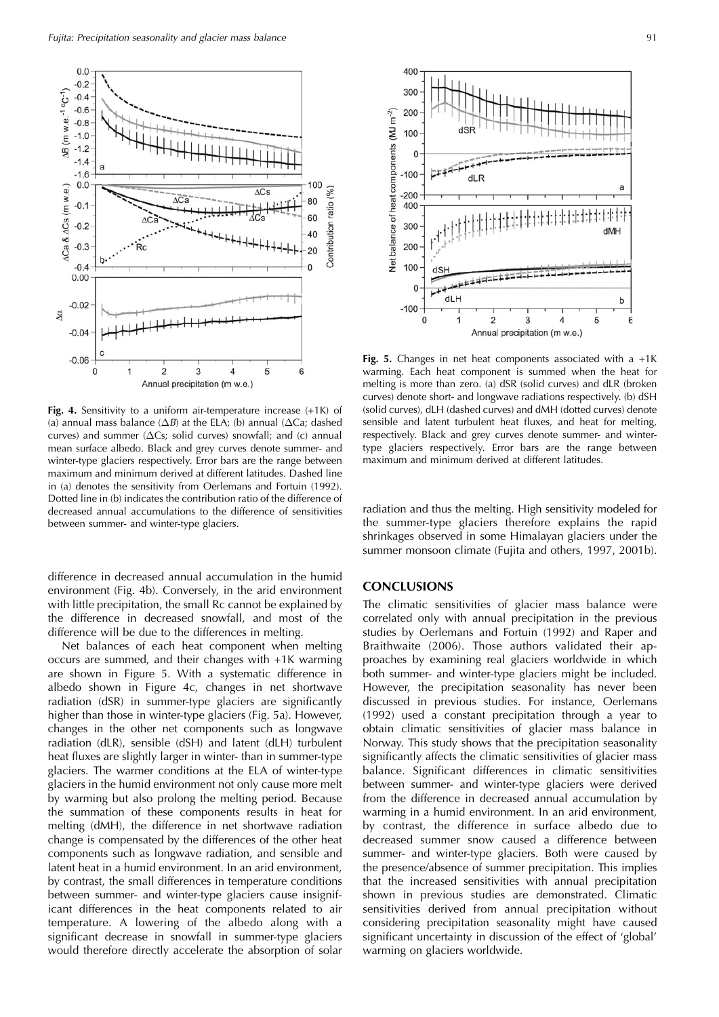

**Fig. 4.** Sensitivity to a uniform air-temperature increase (+1K) of (a) annual mass balance ( $\Delta B$ ) at the ELA; (b) annual ( $\Delta Ca$ ; dashed curves) and summer ( $\Delta C$ s; solid curves) snowfall; and (c) annual mean surface albedo. Black and grey curves denote summer- and winter-type glaciers respectively. Error bars are the range between maximum and minimum derived at different latitudes. Dashed line in (a) denotes the sensitivity from Oerlemans and Fortuin (1992). Dotted line in (b) indicates the contribution ratio of the difference of decreased annual accumulations to the difference of sensitivities between summer- and winter-type glaciers.

difference in decreased annual accumulation in the humid environment (Fig. 4b). Conversely, in the arid environment with little precipitation, the small Rc cannot be explained by the difference in decreased snowfall, and most of the difference will be due to the differences in melting.

Net balances of each heat component when melting occurs are summed, and their changes with +1K warming are shown in Figure 5. With a systematic difference in albedo shown in Figure 4c, changes in net shortwave radiation (dSR) in summer-type glaciers are significantly higher than those in winter-type glaciers (Fig. 5a). However, changes in the other net components such as longwave radiation (dLR), sensible (dSH) and latent (dLH) turbulent heat fluxes are slightly larger in winter- than in summer-type glaciers. The warmer conditions at the ELA of winter-type glaciers in the humid environment not only cause more melt by warming but also prolong the melting period. Because the summation of these components results in heat for melting (dMH), the difference in net shortwave radiation change is compensated by the differences of the other heat components such as longwave radiation, and sensible and latent heat in a humid environment. In an arid environment, by contrast, the small differences in temperature conditions between summer- and winter-type glaciers cause insignificant differences in the heat components related to air temperature. A lowering of the albedo along with a significant decrease in snowfall in summer-type glaciers would therefore directly accelerate the absorption of solar



**Fig. 5.** Changes in net heat components associated with a +1K warming. Each heat component is summed when the heat for melting is more than zero. (a) dSR (solid curves) and dLR (broken curves) denote short- and longwave radiations respectively. (b) dSH (solid curves), dLH (dashed curves) and dMH (dotted curves) denote sensible and latent turbulent heat fluxes, and heat for melting, respectively. Black and grey curves denote summer- and wintertype glaciers respectively. Error bars are the range between maximum and minimum derived at different latitudes.

radiation and thus the melting. High sensitivity modeled for the summer-type glaciers therefore explains the rapid shrinkages observed in some Himalayan glaciers under the summer monsoon climate (Fujita and others, 1997, 2001b).

## **CONCLUSIONS**

The climatic sensitivities of glacier mass balance were correlated only with annual precipitation in the previous studies by Oerlemans and Fortuin (1992) and Raper and Braithwaite (2006). Those authors validated their approaches by examining real glaciers worldwide in which both summer- and winter-type glaciers might be included. However, the precipitation seasonality has never been discussed in previous studies. For instance, Oerlemans (1992) used a constant precipitation through a year to obtain climatic sensitivities of glacier mass balance in Norway. This study shows that the precipitation seasonality significantly affects the climatic sensitivities of glacier mass balance. Significant differences in climatic sensitivities between summer- and winter-type glaciers were derived from the difference in decreased annual accumulation by warming in a humid environment. In an arid environment, by contrast, the difference in surface albedo due to decreased summer snow caused a difference between summer- and winter-type glaciers. Both were caused by the presence/absence of summer precipitation. This implies that the increased sensitivities with annual precipitation shown in previous studies are demonstrated. Climatic sensitivities derived from annual precipitation without considering precipitation seasonality might have caused significant uncertainty in discussion of the effect of 'global' warming on glaciers worldwide.